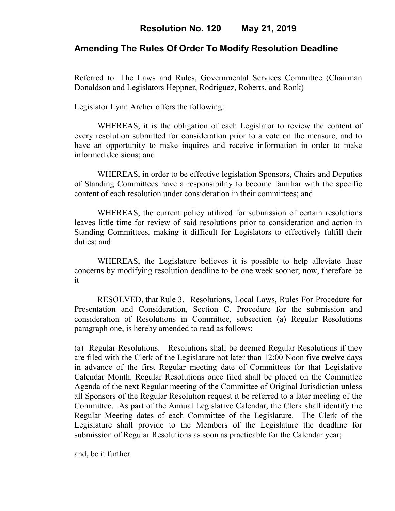# **Amending The Rules Of Order To Modify Resolution Deadline**

Referred to: The Laws and Rules, Governmental Services Committee (Chairman Donaldson and Legislators Heppner, Rodriguez, Roberts, and Ronk)

Legislator Lynn Archer offers the following:

WHEREAS, it is the obligation of each Legislator to review the content of every resolution submitted for consideration prior to a vote on the measure, and to have an opportunity to make inquires and receive information in order to make informed decisions; and

WHEREAS, in order to be effective legislation Sponsors, Chairs and Deputies of Standing Committees have a responsibility to become familiar with the specific content of each resolution under consideration in their committees; and

WHEREAS, the current policy utilized for submission of certain resolutions leaves little time for review of said resolutions prior to consideration and action in Standing Committees, making it difficult for Legislators to effectively fulfill their duties; and

WHEREAS, the Legislature believes it is possible to help alleviate these concerns by modifying resolution deadline to be one week sooner; now, therefore be it

RESOLVED, that Rule 3. Resolutions, Local Laws, Rules For Procedure for Presentation and Consideration, Section C. Procedure for the submission and consideration of Resolutions in Committee, subsection (a) Regular Resolutions paragraph one, is hereby amended to read as follows:

(a) Regular Resolutions. Resolutions shall be deemed Regular Resolutions if they are filed with the Clerk of the Legislature not later than 12:00 Noon five **twelve** days in advance of the first Regular meeting date of Committees for that Legislative Calendar Month. Regular Resolutions once filed shall be placed on the Committee Agenda of the next Regular meeting of the Committee of Original Jurisdiction unless all Sponsors of the Regular Resolution request it be referred to a later meeting of the Committee. As part of the Annual Legislative Calendar, the Clerk shall identify the Regular Meeting dates of each Committee of the Legislature. The Clerk of the Legislature shall provide to the Members of the Legislature the deadline for submission of Regular Resolutions as soon as practicable for the Calendar year;

and, be it further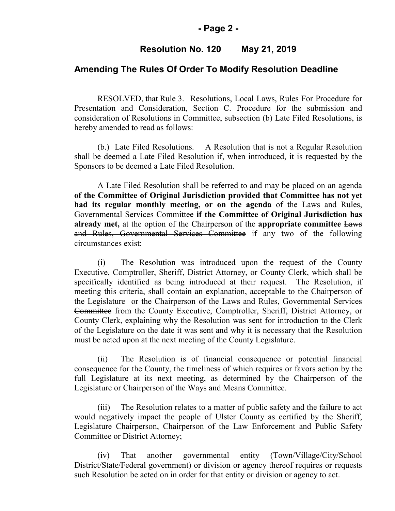#### **- Page 2 -**

## **Resolution No. 120 May 21, 2019**

### **Amending The Rules Of Order To Modify Resolution Deadline**

RESOLVED, that Rule 3. Resolutions, Local Laws, Rules For Procedure for Presentation and Consideration, Section C. Procedure for the submission and consideration of Resolutions in Committee, subsection (b) Late Filed Resolutions, is hereby amended to read as follows:

(b.) Late Filed Resolutions. A Resolution that is not a Regular Resolution shall be deemed a Late Filed Resolution if, when introduced, it is requested by the Sponsors to be deemed a Late Filed Resolution.

A Late Filed Resolution shall be referred to and may be placed on an agenda **of the Committee of Original Jurisdiction provided that Committee has not yet had its regular monthly meeting, or on the agenda** of the Laws and Rules, Governmental Services Committee **if the Committee of Original Jurisdiction has already met,** at the option of the Chairperson of the **appropriate committee** Laws and Rules, Governmental Services Committee if any two of the following circumstances exist:

(i) The Resolution was introduced upon the request of the County Executive, Comptroller, Sheriff, District Attorney, or County Clerk, which shall be specifically identified as being introduced at their request. The Resolution, if meeting this criteria, shall contain an explanation, acceptable to the Chairperson of the Legislature or the Chairperson of the Laws and Rules, Governmental Services Committee from the County Executive, Comptroller, Sheriff, District Attorney, or County Clerk, explaining why the Resolution was sent for introduction to the Clerk of the Legislature on the date it was sent and why it is necessary that the Resolution must be acted upon at the next meeting of the County Legislature.

(ii) The Resolution is of financial consequence or potential financial consequence for the County, the timeliness of which requires or favors action by the full Legislature at its next meeting, as determined by the Chairperson of the Legislature or Chairperson of the Ways and Means Committee.

(iii) The Resolution relates to a matter of public safety and the failure to act would negatively impact the people of Ulster County as certified by the Sheriff, Legislature Chairperson, Chairperson of the Law Enforcement and Public Safety Committee or District Attorney;

(iv) That another governmental entity (Town/Village/City/School District/State/Federal government) or division or agency thereof requires or requests such Resolution be acted on in order for that entity or division or agency to act.